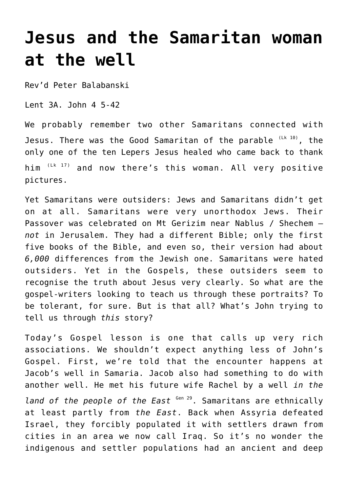## **[Jesus and the Samaritan woman](http://stjohnsadelaide.org.au/jesus-and-the-samaritan-woman-at-the-well/) [at the well](http://stjohnsadelaide.org.au/jesus-and-the-samaritan-woman-at-the-well/)**

Rev'd Peter Balabanski

Lent 3A. John 4 5-42

We probably remember two other Samaritans connected with Jesus. There was the Good Samaritan of the parable  $(Lk-10)$ , the only one of the ten Lepers Jesus healed who came back to thank him  $(Lk - 17)$  and now there's this woman. All very positive pictures.

Yet Samaritans were outsiders: Jews and Samaritans didn't get on at all. Samaritans were very unorthodox Jews. Their Passover was celebrated on Mt Gerizim near Nablus / Shechem – *not* in Jerusalem. They had a different Bible; only the first five books of the Bible, and even so, their version had about *6,000* differences from the Jewish one. Samaritans were hated outsiders. Yet in the Gospels, these outsiders seem to recognise the truth about Jesus very clearly. So what are the gospel-writers looking to teach us through these portraits? To be tolerant, for sure. But is that all? What's John trying to tell us through *this* story?

Today's Gospel lesson is one that calls up very rich associations. We shouldn't expect anything less of John's Gospel. First, we're told that the encounter happens at Jacob's well in Samaria. Jacob also had something to do with another well. He met his future wife Rachel by a well *in the*

land of the people of the East <sup>Gen 29</sup>. Samaritans are ethnically at least partly from *the East*. Back when Assyria defeated Israel, they forcibly populated it with settlers drawn from cities in an area we now call Iraq. So it's no wonder the indigenous and settler populations had an ancient and deep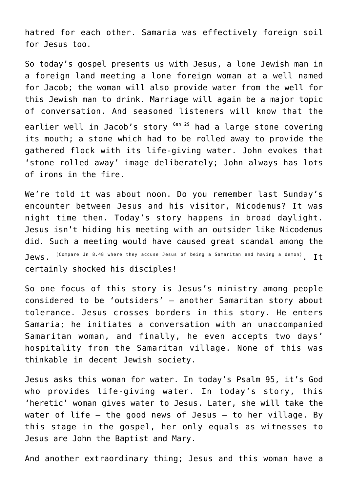hatred for each other. Samaria was effectively foreign soil for Jesus too.

So today's gospel presents us with Jesus, a lone Jewish man in a foreign land meeting a lone foreign woman at a well named for Jacob; the woman will also provide water from the well for this Jewish man to drink. Marriage will again be a major topic of conversation. And seasoned listeners will know that the earlier well in Jacob's story <sup>Gen 29</sup> had a large stone covering its mouth; a stone which had to be rolled away to provide the gathered flock with its life-giving water. John evokes that 'stone rolled away' image deliberately; John always has lots of irons in the fire.

We're told it was about noon. Do you remember last Sunday's encounter between Jesus and his visitor, Nicodemus? It was night time then. Today's story happens in broad daylight. Jesus isn't hiding his meeting with an outsider like Nicodemus did. Such a meeting would have caused great scandal among the  $J$ ews.  $($ Compare Jn 8.48 where they accuse Jesus of being a Samaritan and having a demon) T $\dagger$ certainly shocked his disciples!

So one focus of this story is Jesus's ministry among people considered to be 'outsiders' – another Samaritan story about tolerance. Jesus crosses borders in this story. He enters Samaria; he initiates a conversation with an unaccompanied Samaritan woman, and finally, he even accepts two days' hospitality from the Samaritan village. None of this was thinkable in decent Jewish society.

Jesus asks this woman for water. In today's Psalm 95, it's God who provides life-giving water. In today's story, this 'heretic' woman gives water to Jesus. Later, she will take the water of life – the good news of Jesus – to her village. By this stage in the gospel, her only equals as witnesses to Jesus are John the Baptist and Mary.

And another extraordinary thing; Jesus and this woman have a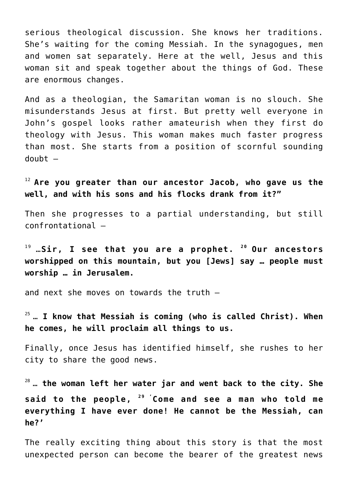serious theological discussion. She knows her traditions. She's waiting for the coming Messiah. In the synagogues, men and women sat separately. Here at the well, Jesus and this woman sit and speak together about the things of God. These are enormous changes.

And as a theologian, the Samaritan woman is no slouch. She misunderstands Jesus at first. But pretty well everyone in John's gospel looks rather amateurish when they first do theology with Jesus. This woman makes much faster progress than most. She starts from a position of scornful sounding doubt –

<sup>12</sup>**Are you greater than our ancestor Jacob, who gave us the well, and with his sons and his flocks drank from it?"**

Then she progresses to a partial understanding, but still confrontational –

19 …**Sir, I see that you are a prophet. <sup>20</sup>Our ancestors worshipped on this mountain, but you [Jews] say … people must worship … in Jerusalem.**

and next she moves on towards the truth –

25 … **I know that Messiah is coming (who is called Christ). When he comes, he will proclaim all things to us.**

Finally, once Jesus has identified himself, she rushes to her city to share the good news.

28 … **the woman left her water jar and went back to the city. She said to the people, 29 ' Come and see a man who told me everything I have ever done! He cannot be the Messiah, can he?'**

The really exciting thing about this story is that the most unexpected person can become the bearer of the greatest news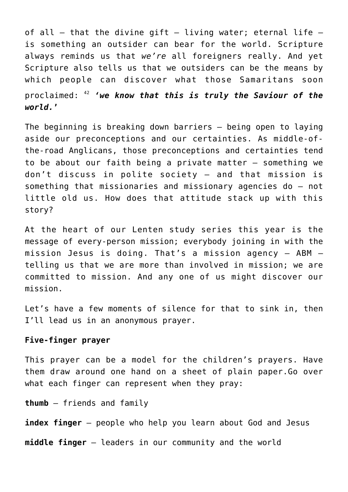of all  $-$  that the divine gift  $-$  living water; eternal life  $$ is something an outsider can bear for the world. Scripture always reminds us that *we're* all foreigners really. And yet Scripture also tells us that we outsiders can be the means by which people can discover what those Samaritans soon proclaimed: <sup>42</sup> *'we know that this is truly the Saviour of the world.***'**

The beginning is breaking down barriers – being open to laying aside our preconceptions and our certainties. As middle-ofthe-road Anglicans, those preconceptions and certainties tend to be about our faith being a private matter – something we don't discuss in polite society – and that mission is something that missionaries and missionary agencies do – not little old us. How does that attitude stack up with this story?

At the heart of our Lenten study series this year is the message of every-person mission; everybody joining in with the mission Jesus is doing. That's a mission agency – ABM – telling us that we are more than involved in mission; we are committed to mission. And any one of us might discover our mission.

Let's have a few moments of silence for that to sink in, then I'll lead us in an anonymous prayer.

## **Five-finger prayer**

This prayer can be a model for the children's prayers. Have them draw around one hand on a sheet of plain paper.Go over what each finger can represent when they pray:

**thumb** – friends and family

**index finger** – people who help you learn about God and Jesus

**middle finger** – leaders in our community and the world